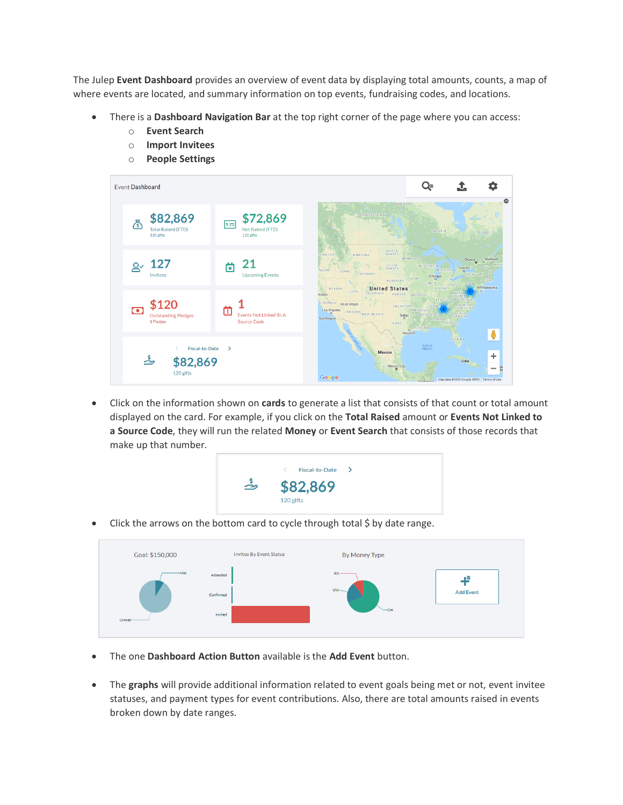The Julep **Event Dashboard** provides an overview of event data by displaying total amounts, counts, a map of where events are located, and summary information on top events, fundraising codes, and locations.

- There is a **Dashboard Navigation Bar** at the top right corner of the page where you can access:
	- o **Event Search**
	- o **Import Invitees**
	- o **People Settings**



• Click on the information shown on **cards** to generate a list that consists of that count or total amount displayed on the card. For example, if you click on the **Total Raised** amount or **Events Not Linked to a Source Code**, they will run the related **Money** or **Event Search** that consists of those records that make up that number.



• Click the arrows on the bottom card to cycle through total \$ by date range.



- The one **Dashboard Action Button** available is the **Add Event** button.
- The **graphs** will provide additional information related to event goals being met or not, event invitee statuses, and payment types for event contributions. Also, there are total amounts raised in events broken down by date ranges.